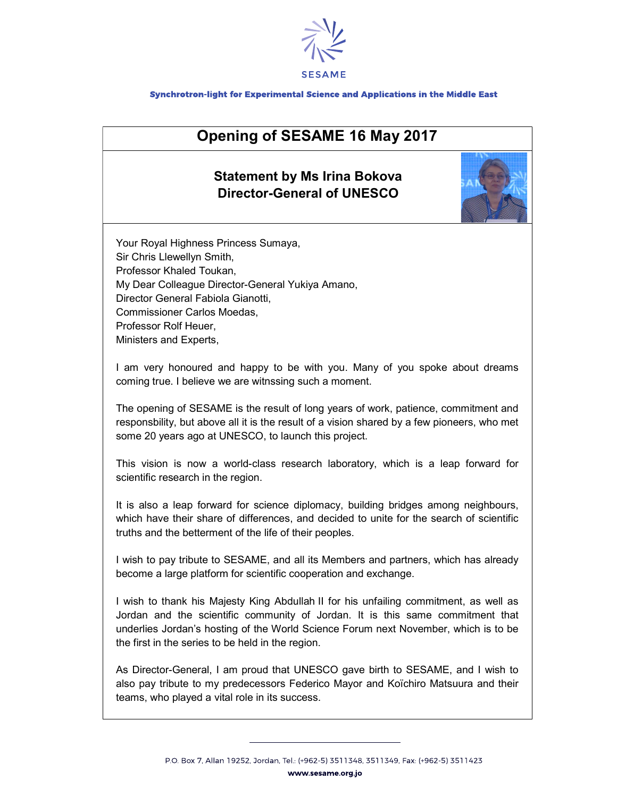

## Synchrotron-light for Experimental Science and Applications in the Middle East

## Opening of SESAME 16 May 2017

## Statement by Ms Irina Bokova Director-General of UNESCO



Your Royal Highness Princess Sumaya, Sir Chris Llewellyn Smith, Professor Khaled Toukan, My Dear Colleague Director-General Yukiya Amano, Director General Fabiola Gianotti, Commissioner Carlos Moedas, Professor Rolf Heuer, Ministers and Experts,

I am very honoured and happy to be with you. Many of you spoke about dreams coming true. I believe we are witnssing such a moment.

The opening of SESAME is the result of long years of work, patience, commitment and responsbility, but above all it is the result of a vision shared by a few pioneers, who met some 20 years ago at UNESCO, to launch this project.

This vision is now a world-class research laboratory, which is a leap forward for scientific research in the region.

It is also a leap forward for science diplomacy, building bridges among neighbours, which have their share of differences, and decided to unite for the search of scientific truths and the betterment of the life of their peoples.

I wish to pay tribute to SESAME, and all its Members and partners, which has already become a large platform for scientific cooperation and exchange.

I wish to thank his Majesty King Abdullah II for his unfailing commitment, as well as Jordan and the scientific community of Jordan. It is this same commitment that underlies Jordan's hosting of the World Science Forum next November, which is to be the first in the series to be held in the region.

As Director-General, I am proud that UNESCO gave birth to SESAME, and I wish to also pay tribute to my predecessors Federico Mayor and Koïchiro Matsuura and their teams, who played a vital role in its success.